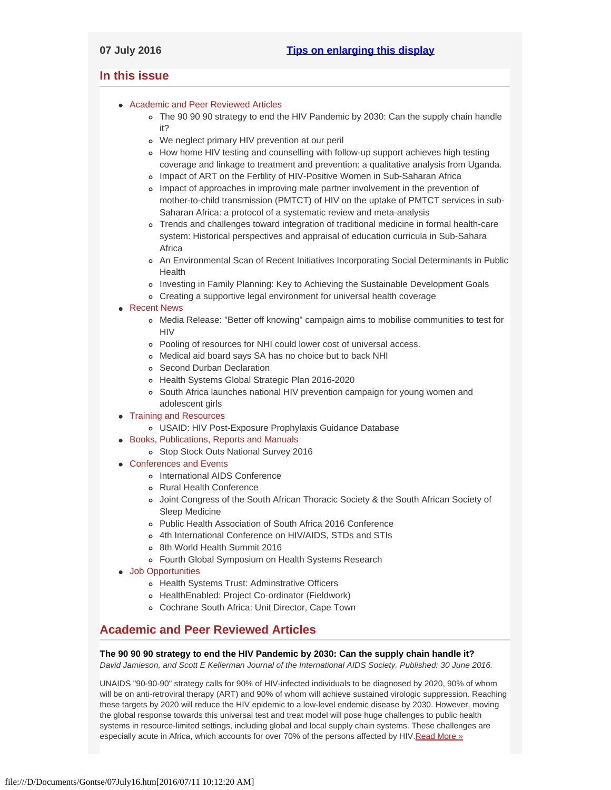# <span id="page-0-3"></span><span id="page-0-2"></span>**In this issue**

- [Academic and Peer Reviewed Articles](#page-0-0)
	- [The 90 90 90 strategy to end the HIV Pandemic by 2030: Can the supply chain handle](#page-0-1) [it?](#page-0-1)
	- [We neglect primary HIV prevention at our peril](#page-1-0)
	- o [How home HIV testing and counselling with follow-up support achieves high testing](#page-1-1) [coverage and linkage to treatment and prevention: a qualitative analysis from Uganda.](#page-1-1)
	- o [Impact of ART on the Fertility of HIV-Positive Women in Sub-Saharan Africa](#page-1-2)
	- [Impact of approaches in improving male partner involvement in the prevention of](#page-1-3) [mother-to-child transmission \(PMTCT\) of HIV on the uptake of PMTCT services in sub-](#page-1-3)[Saharan Africa: a protocol of a systematic review and meta-analysis](#page-1-3)
	- [Trends and challenges toward integration of traditional medicine in formal health-care](#page-1-4) [system: Historical perspectives and appraisal of education curricula in Sub-Sahara](#page-1-4) [Africa](#page-1-4)
	- [An Environmental Scan of Recent Initiatives Incorporating Social Determinants in Public](#page-1-5) **[Health](#page-1-5)**
	- [Investing in Family Planning: Key to Achieving the Sustainable Development Goals](#page-2-0)
	- [Creating a supportive legal environment for universal health coverage](#page-2-1)

## • [Recent News](#page-2-2)

- [Media Release: "Better off knowing" campaign aims to mobilise communities to test for](#page-2-3) **[HIV](#page-2-3)**
- [Pooling of resources for NHI could lower cost of universal access.](#page-2-4)
- [Medical aid board says SA has no choice but to back NHI](#page-2-5)
- o [Second Durban Declaration](#page-3-0)
- [Health Systems Global Strategic Plan 2016-2020](#page-3-1)
- o [South Africa launches national HIV prevention campaign for young women and](#page-3-2) [adolescent girls](#page-3-2)
- [Training and Resources](#page-4-0)
	- [USAID: HIV Post-Exposure Prophylaxis Guidance Database](#page-3-3)
- [Books, Publications, Reports and Manuals](#page-3-4)
	- o [Stop Stock Outs National Survey 2016](#page-3-5)
- [Conferences and Events](#page-3-6)
	- o [International AIDS Conference](#page-3-7)
	- [Rural Health Conference](#page-4-1)
	- [Joint Congress of the South African Thoracic Society & the South African Society of](#page-4-2) [Sleep Medicine](#page-4-2)
	- [Public Health Association of South Africa 2016 Conference](#page-4-3)
	- [4th International Conference on HIV/AIDS, STDs and STIs](#page-4-4)
	- [8th World Health Summit 2016](#page-4-5)
	- [Fourth Global Symposium on Health Systems Research](#page-4-6)
- [Job Opportunities](#page-0-2)
	- [Health Systems Trust: Adminstrative Officers](#page-4-0)
	- [HealthEnabled: Project Co-ordinator \(Fieldwork\)](#page-4-7)
	- [Cochrane South Africa: Unit Director, Cape Town](#page-4-8)

# <span id="page-0-0"></span>**Academic and Peer Reviewed Articles**

## <span id="page-0-1"></span>**The 90 90 90 strategy to end the HIV Pandemic by 2030: Can the supply chain handle it?**

*David Jamieson, and Scott E Kellerman Journal of the International AIDS Society. Published: 30 June 2016.*

UNAIDS "90-90-90" strategy calls for 90% of HIV-infected individuals to be diagnosed by 2020, 90% of whom will be on anti-retroviral therapy (ART) and 90% of whom will achieve sustained virologic suppression. Reaching these targets by 2020 will reduce the HIV epidemic to a low-level endemic disease by 2030. However, moving the global response towards this universal test and treat model will pose huge challenges to public health systems in resource-limited settings, including global and local supply chain systems. These challenges are especially acute in Africa, which accounts for over 70% of the persons affected by HIV. Read More »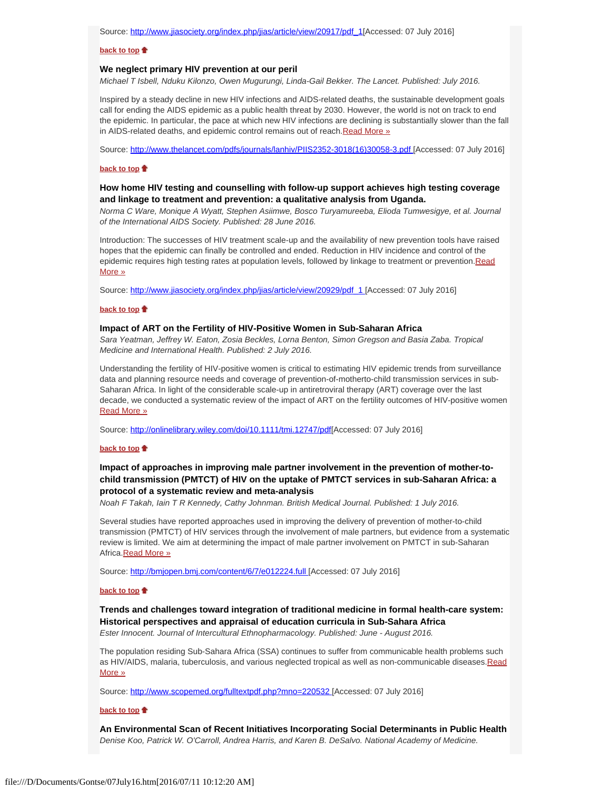#### **[back to top](#page-0-3)**

#### <span id="page-1-0"></span>**We neglect primary HIV prevention at our peril**

*Michael T Isbell, Nduku Kilonzo, Owen Mugurungi, Linda-Gail Bekker. The Lancet. Published: July 2016.*

Inspired by a steady decline in new HIV infections and AIDS-related deaths, the sustainable development goals call for ending the AIDS epidemic as a public health threat by 2030. However, the world is not on track to end the epidemic. In particular, the pace at which new HIV infections are declining is substantially slower than the fall in AIDS-related deaths, and epidemic control remains out of reach. Read More »

Source: [http://www.thelancet.com/pdfs/journals/lanhiv/PIIS2352-3018\(16\)30058-3.pdf](http://www.thelancet.com/pdfs/journals/lanhiv/PIIS2352-3018(16)30058-3.pdf) [Accessed: 07 July 2016]

## **[back to top](#page-0-3)**

## <span id="page-1-1"></span>**How home HIV testing and counselling with follow-up support achieves high testing coverage and linkage to treatment and prevention: a qualitative analysis from Uganda.**

*Norma C Ware, Monique A Wyatt, Stephen Asiimwe, Bosco Turyamureeba, Elioda Tumwesigye, et al. Journal of the International AIDS Society. Published: 28 June 2016.*

Introduction: The successes of HIV treatment scale-up and the availability of new prevention tools have raised hopes that the epidemic can finally be controlled and ended. Reduction in HIV incidence and control of the epidemic requires high testing rates at population levels, followed by linkage to treatment or prevention. [Read](http://www.jiasociety.org/index.php/jias/article/view/20929/pdf_1) [More »](http://www.jiasociety.org/index.php/jias/article/view/20929/pdf_1)

Source: http://www.jiasociety.org/index.php/jias/article/view/20929/pdf 1 [Accessed: 07 July 2016]

#### **[back to top](#page-0-3)**

#### <span id="page-1-2"></span>**Impact of ART on the Fertility of HIV-Positive Women in Sub-Saharan Africa**

*Sara Yeatman, Jeffrey W. Eaton, Zosia Beckles, Lorna Benton, Simon Gregson and Basia Zaba. Tropical Medicine and International Health. Published: 2 July 2016.*

Understanding the fertility of HIV-positive women is critical to estimating HIV epidemic trends from surveillance data and planning resource needs and coverage of prevention-of-motherto-child transmission services in sub-Saharan Africa. In light of the considerable scale-up in antiretroviral therapy (ART) coverage over the last decade, we conducted a systematic review of the impact of ART on the fertility outcomes of HIV-positive women [Read More »](http://onlinelibrary.wiley.com/doi/10.1111/tmi.12747/pdf)

Source:<http://onlinelibrary.wiley.com/doi/10.1111/tmi.12747/pdf>[Accessed: 07 July 2016]

## **[back to top](#page-0-3)**

## <span id="page-1-3"></span>**Impact of approaches in improving male partner involvement in the prevention of mother-tochild transmission (PMTCT) of HIV on the uptake of PMTCT services in sub-Saharan Africa: a protocol of a systematic review and meta-analysis**

*Noah F Takah, Iain T R Kennedy, Cathy Johnman. British Medical Journal. Published: 1 July 2016.*

Several studies have reported approaches used in improving the delivery of prevention of mother-to-child transmission (PMTCT) of HIV services through the involvement of male partners, but evidence from a systematic review is limited. We aim at determining the impact of male partner involvement on PMTCT in sub-Saharan Africa[.Read More »](http://bmjopen.bmj.com/content/6/7/e012224.full)

Source:<http://bmjopen.bmj.com/content/6/7/e012224.full>[Accessed: 07 July 2016]

### **[back to top](#page-0-3)**

# <span id="page-1-4"></span>**Trends and challenges toward integration of traditional medicine in formal health-care system: Historical perspectives and appraisal of education curricula in Sub-Sahara Africa**

*Ester Innocent. Journal of Intercultural Ethnopharmacology. Published: June - August 2016.*

The population residing Sub-Sahara Africa (SSA) continues to suffer from communicable health problems such as HIV/AIDS, malaria, tuberculosis, and various neglected tropical as well as non-communicable diseases. Read [More »](http://www.scopemed.org/fulltextpdf.php?mno=220532)

Source:<http://www.scopemed.org/fulltextpdf.php?mno=220532>[Accessed: 07 July 2016]

#### **[back to top](#page-0-3)**

<span id="page-1-5"></span>**An Environmental Scan of Recent Initiatives Incorporating Social Determinants in Public Health** *Denise Koo, Patrick W. O'Carroll, Andrea Harris, and Karen B. DeSalvo. National Academy of Medicine.*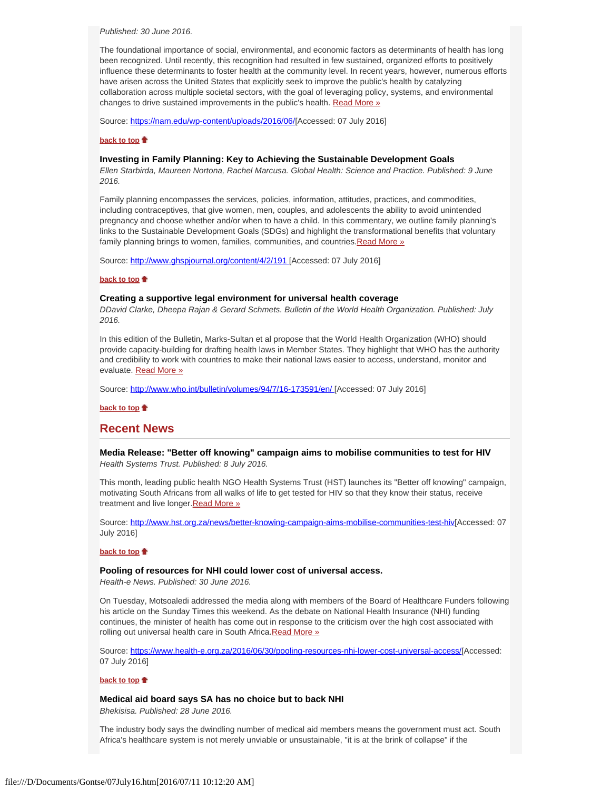*Published: 30 June 2016.*

The foundational importance of social, environmental, and economic factors as determinants of health has long been recognized. Until recently, this recognition had resulted in few sustained, organized efforts to positively influence these determinants to foster health at the community level. In recent years, however, numerous efforts have arisen across the United States that explicitly seek to improve the public's health by catalyzing collaboration across multiple societal sectors, with the goal of leveraging policy, systems, and environmental changes to drive sustained improvements in the public's health. [Read More »](https://nam.edu/wp-content/uploads/2016/06/An-Environmental-Scan-of-Recent-Initiatives-Incorporating-Social-Determinants-in-Public-Health.pdf)

Source: [https://nam.edu/wp-content/uploads/2016/06/](https://nam.edu/wp-content/uploads/2016/06/An-Environmental-Scan-of-Recent-Initiatives-Incorporating-Social-Determinants-in-Public-Health.pdf)[Accessed: 07 July 2016]

## **[back to top](#page-0-3)**

## <span id="page-2-0"></span>**Investing in Family Planning: Key to Achieving the Sustainable Development Goals**

*Ellen Starbirda, Maureen Nortona, Rachel Marcusa. Global Health: Science and Practice. Published: 9 June 2016.*

Family planning encompasses the services, policies, information, attitudes, practices, and commodities, including contraceptives, that give women, men, couples, and adolescents the ability to avoid unintended pregnancy and choose whether and/or when to have a child. In this commentary, we outline family planning's links to the Sustainable Development Goals (SDGs) and highlight the transformational benefits that voluntary family planning brings to women, families, communities, and countries. Read More »

Source:<http://www.ghspjournal.org/content/4/2/191>[Accessed: 07 July 2016]

## **[back to top](#page-0-3)**

## <span id="page-2-1"></span>**Creating a supportive legal environment for universal health coverage**

*DDavid Clarke, Dheepa Rajan & Gerard Schmets. Bulletin of the World Health Organization. Published: July 2016.*

In this edition of the Bulletin, Marks-Sultan et al propose that the World Health Organization (WHO) should provide capacity-building for drafting health laws in Member States. They highlight that WHO has the authority and credibility to work with countries to make their national laws easier to access, understand, monitor and evaluate. [Read More »](http://www.who.int/bulletin/volumes/94/7/16-173591/en/)

Source:<http://www.who.int/bulletin/volumes/94/7/16-173591/en/>[Accessed: 07 July 2016]

## **[back to top](#page-0-3)**

# <span id="page-2-2"></span>**Recent News**

<span id="page-2-3"></span>**Media Release: "Better off knowing" campaign aims to mobilise communities to test for HIV** *Health Systems Trust. Published: 8 July 2016.*

This month, leading public health NGO Health Systems Trust (HST) launches its "Better off knowing" campaign, motivating South Africans from all walks of life to get tested for HIV so that they know their status, receive treatment and live longer. Read More »

Source:<http://www.hst.org.za/news/better-knowing-campaign-aims-mobilise-communities-test-hiv>[Accessed: 07 July 2016]

#### **[back to top](#page-0-3)**

#### <span id="page-2-4"></span>**Pooling of resources for NHI could lower cost of universal access.**

*Health-e News. Published: 30 June 2016.*

On Tuesday, Motsoaledi addressed the media along with members of the Board of Healthcare Funders following his article on the Sunday Times this weekend. As the debate on National Health Insurance (NHI) funding continues, the minister of health has come out in response to the criticism over the high cost associated with rolling out universal health care in South Africa. Read More »

Source:<https://www.health-e.org.za/2016/06/30/pooling-resources-nhi-lower-cost-universal-access/>[Accessed: 07 July 2016]

#### **[back to top](#page-0-3)**

#### <span id="page-2-5"></span>**Medical aid board says SA has no choice but to back NHI**

*Bhekisisa. Published: 28 June 2016.*

The industry body says the dwindling number of medical aid members means the government must act. South Africa's healthcare system is not merely unviable or unsustainable, "it is at the brink of collapse" if the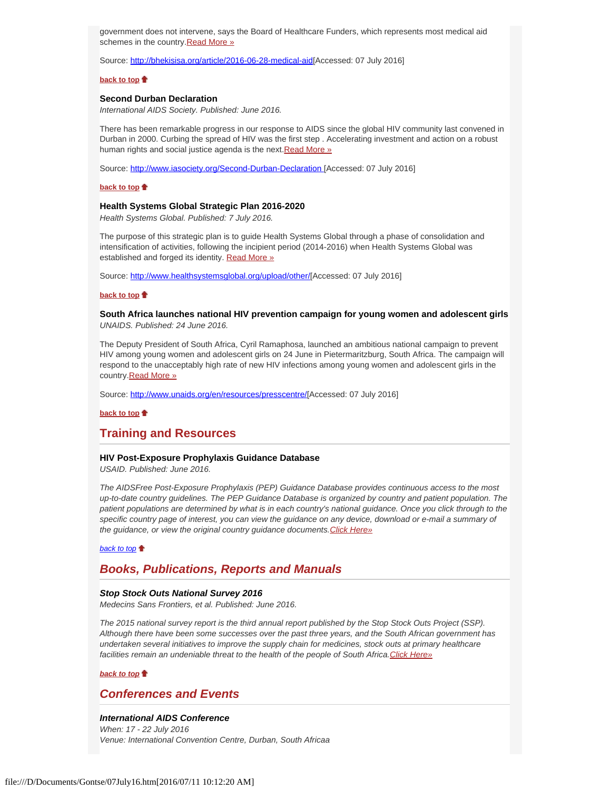government does not intervene, says the Board of Healthcare Funders, which represents most medical aid schemes in the country. Read More »

Source: [http://bhekisisa.org/article/2016-06-28-medical-aid](http://bhekisisa.org/article/2016-06-28-medical-aid-board-says-sa-has-no-choice-but-to-back-nhi)[Accessed: 07 July 2016]

#### **[back to top](#page-0-3)**

## <span id="page-3-0"></span>**Second Durban Declaration**

*International AIDS Society. Published: June 2016.*

There has been remarkable progress in our response to AIDS since the global HIV community last convened in Durban in 2000. Curbing the spread of HIV was the first step . Accelerating investment and action on a robust human rights and social justice agenda is the next. [Read More »](http://www.hst.org.za/news/second-durban-declaration)

Source:<http://www.iasociety.org/Second-Durban-Declaration>[Accessed: 07 July 2016]

## **[back to top](#page-0-3)**  $\triangle$

#### **Health Systems Global Strategic Plan 2016-2020**

<span id="page-3-1"></span>*Health Systems Global. Published: 7 July 2016.*

The purpose of this strategic plan is to guide Health Systems Global through a phase of consolidation and intensification of activities, following the incipient period (2014-2016) when Health Systems Global was established and forged its identity. [Read More »](http://www.hst.org.za/news/health-systems-global-strategic-plan-2016-2020)

Source: [http://www.healthsystemsglobal.org/upload/other/](http://www.healthsystemsglobal.org/upload/other/HSG%20Strategic%20Plan%20May%2025%202016.pdf)[Accessed: 07 July 2016]

## **[back to top](#page-0-3)**

## <span id="page-3-2"></span>**South Africa launches national HIV prevention campaign for young women and adolescent girls** *UNAIDS. Published: 24 June 2016.*

The Deputy President of South Africa, Cyril Ramaphosa, launched an ambitious national campaign to prevent HIV among young women and adolescent girls on 24 June in Pietermaritzburg, South Africa. The campaign will respond to the unacceptably high rate of new HIV infections among young women and adolescent girls in the country. Read More »

Source: [http://www.unaids.org/en/resources/presscentre/](http://www.unaids.org/en/resources/presscentre/featurestories/2016/june/20160624_south-africa)[Accessed: 07 July 2016]

**[back to top](#page-0-3)**

## **Training and Resources**

#### <span id="page-3-3"></span>**HIV Post-Exposure Prophylaxis Guidance Database**

*USAID. Published: June 2016.*

*The AIDSFree Post-Exposure Prophylaxis (PEP) Guidance Database provides continuous access to the most up-to-date country guidelines. The PEP Guidance Database is organized by country and patient population. The patient populations are determined by what is in each country's national guidance. Once you click through to the specific country page of interest, you can view the guidance on any device, download or e-mail a summary of the guidance, or view the original country guidance documents[.Click Here»](https://aidsfree.usaid.gov/resources/)*

*[back to top](#page-0-3)*

## <span id="page-3-4"></span>*Books, Publications, Reports and Manuals*

#### <span id="page-3-5"></span>*Stop Stock Outs National Survey 2016*

*Medecins Sans Frontiers, et al. Published: June 2016.*

*The 2015 national survey report is the third annual report published by the Stop Stock Outs Project (SSP). Although there have been some successes over the past three years, and the South African government has undertaken several initiatives to improve the supply chain for medicines, stock outs at primary healthcare facilities remain an undeniable threat to the health of the people of South Africa[.Click Here»](http://www.hst.org.za/publications/stop-stock-outs-national-survey-2016)*

## *[back to top](#page-0-3)*

## <span id="page-3-6"></span>*Conferences and Events*

#### <span id="page-3-7"></span>*International AIDS Conference*

*When: 17 - 22 July 2016 Venue: International Convention Centre, Durban, South Africaa*